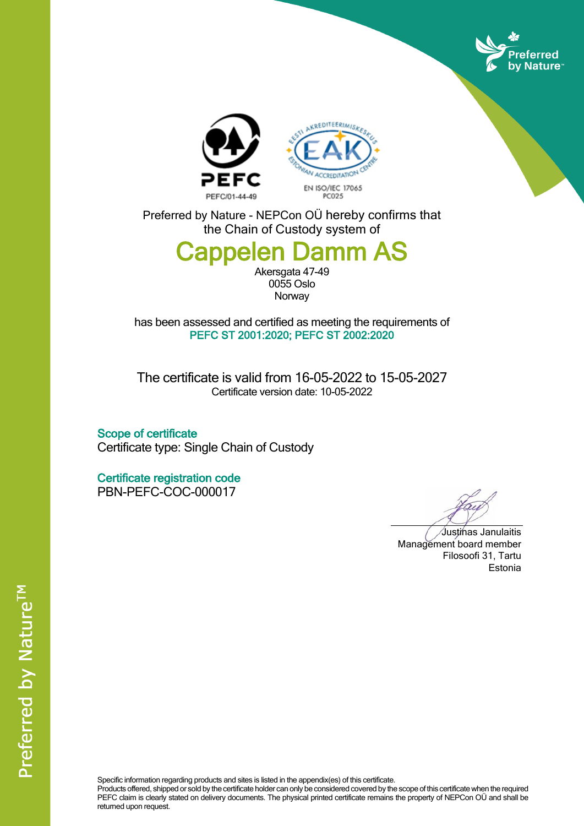





Preferred by Nature - NEPCon OÜ hereby confirms that the Chain of Custody system of

## **Cappelen Damm AS**

Akersgata 47-49 0055 Oslo **Norway** 

has been assessed and certified as meeting the requirements of **PEFC ST 2001:2020; PEFC ST 2002:2020**

The certificate is valid from 16-05-2022 to 15-05-2027 Certificate version date: 10-05-2022

**Scope of certificate** Certificate type: Single Chain of Custody

**Certificate registration code** PBN-PEFC-COC-000017

Justinas Janulaitis Management board member Filosoofi 31, Tartu Estonia

Specific information regarding products and sites is listed in the appendix(es) of this certificate.

Products offered, shipped or sold by the certificate holder can only be considered covered by the scope of this certificate when the required PEFC claim is clearly stated on delivery documents. The physical printed certificate remains the property of NEPCon OÜ and shall be returned upon request.